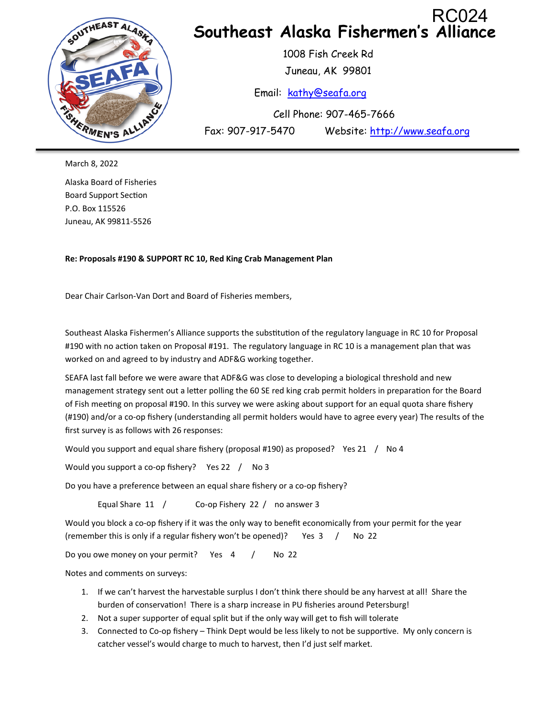

March 8, 2022

Alaska Board of Fisheries Board Support Section P.O. Box 115526 Juneau, AK 99811-5526

**Re: Proposals #190 & SUPPORT RC 10, Red King Crab Management Plan** 

Dear Chair Carlson-Van Dort and Board of Fisheries members,

Southeast Alaska Fishermen's Alliance supports the substitution of the regulatory language in RC 10 for Proposal #190 with no action taken on Proposal #191. The regulatory language in RC 10 is a management plan that was worked on and agreed to by industry and ADF&G working together.

SEAFA last fall before we were aware that ADF&G was close to developing a biological threshold and new management strategy sent out a letter polling the 60 SE red king crab permit holders in preparation for the Board of Fish meeting on proposal #190. In this survey we were asking about support for an equal quota share fishery (#190) and/or a co-op fishery (understanding all permit holders would have to agree every year) The results of the first survey is as follows with 26 responses:

Would you support and equal share fishery (proposal #190) as proposed? Yes 21 / No 4

Would you support a co-op fishery? Yes 22 / No 3

Do you have a preference between an equal share fishery or a co-op fishery?

Equal Share 11 / Co-op Fishery 22 / no answer 3

Would you block a co-op fishery if it was the only way to benefit economically from your permit for the year (remember this is only if a regular fishery won't be opened)? Yes 3 / No 22

Do you owe money on your permit? Yes 4 / No 22

Notes and comments on surveys:

- 1. If we can't harvest the harvestable surplus I don't think there should be any harvest at all! Share the burden of conservation! There is a sharp increase in PU fisheries around Petersburg!
- 2. Not a super supporter of equal split but if the only way will get to fish will tolerate
- 3. Connected to Co-op fishery Think Dept would be less likely to not be supportive. My only concern is catcher vessel's would charge to much to harvest, then I'd just self market.